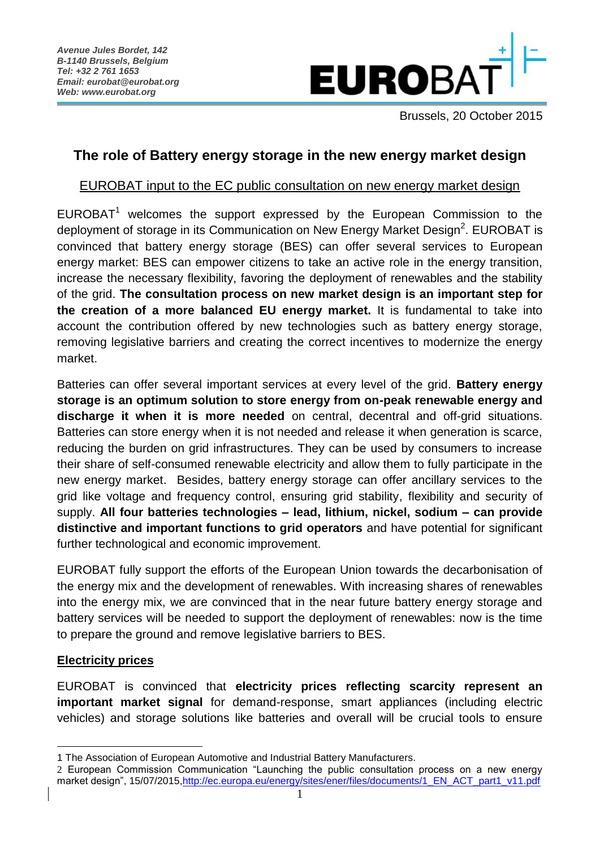

Brussels, 20 October 2015

# **The role of Battery energy storage in the new energy market design**

# EUROBAT input to the EC public consultation on new energy market design

EUROBAT<sup>1</sup> welcomes the support expressed by the European Commission to the deployment of storage in its Communication on New Energy Market Design<sup>2</sup>. EUROBAT is convinced that battery energy storage (BES) can offer several services to European energy market: BES can empower citizens to take an active role in the energy transition, increase the necessary flexibility, favoring the deployment of renewables and the stability of the grid. **The consultation process on new market design is an important step for the creation of a more balanced EU energy market.** It is fundamental to take into account the contribution offered by new technologies such as battery energy storage, removing legislative barriers and creating the correct incentives to modernize the energy market.

Batteries can offer several important services at every level of the grid. **Battery energy storage is an optimum solution to store energy from on-peak renewable energy and discharge it when it is more needed** on central, decentral and off-grid situations. Batteries can store energy when it is not needed and release it when generation is scarce, reducing the burden on grid infrastructures. They can be used by consumers to increase their share of self-consumed renewable electricity and allow them to fully participate in the new energy market. Besides, battery energy storage can offer ancillary services to the grid like voltage and frequency control, ensuring grid stability, flexibility and security of supply. **All four batteries technologies – lead, lithium, nickel, sodium – can provide distinctive and important functions to grid operators** and have potential for significant further technological and economic improvement.

EUROBAT fully support the efforts of the European Union towards the decarbonisation of the energy mix and the development of renewables. With increasing shares of renewables into the energy mix, we are convinced that in the near future battery energy storage and battery services will be needed to support the deployment of renewables: now is the time to prepare the ground and remove legislative barriers to BES.

## **Electricity prices**

1

EUROBAT is convinced that **electricity prices reflecting scarcity represent an important market signal** for demand-response, smart appliances (including electric vehicles) and storage solutions like batteries and overall will be crucial tools to ensure

<sup>1</sup> The Association of European Automotive and Industrial Battery Manufacturers.

<sup>2</sup> European Commission Communication "Launching the public consultation process on a new energy market design", 15/07/2015[,http://ec.europa.eu/energy/sites/ener/files/documents/1\\_EN\\_ACT\\_part1\\_v11.pdf](http://ec.europa.eu/energy/sites/ener/files/documents/1_EN_ACT_part1_v11.pdf)